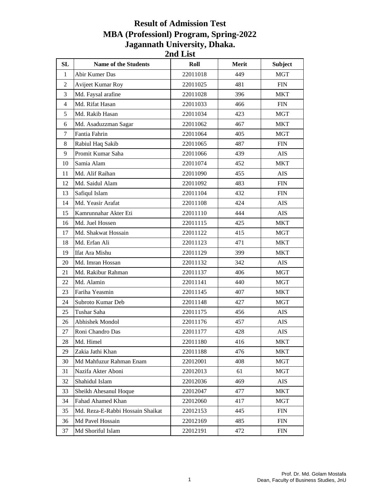## **Result of Admission Test MBA (Professionl) Program, Spring-2022 Jagannath University, Dhaka. 2nd List**

| SL             | <b>Name of the Students</b>      | Roll     | Merit | <b>Subject</b> |
|----------------|----------------------------------|----------|-------|----------------|
| $\mathbf{1}$   | Abir Kumer Das                   | 22011018 | 449   | <b>MGT</b>     |
| $\overline{c}$ | Avijeet Kumar Roy                | 22011025 | 481   | <b>FIN</b>     |
| 3              | Md. Faysal arafine               | 22011028 | 396   | <b>MKT</b>     |
| $\overline{4}$ | Md. Rifat Hasan                  | 22011033 | 466   | FIN            |
| 5              | Md. Rakib Hasan                  | 22011034 | 423   | MGT            |
| 6              | Md. Asaduzzman Sagar             | 22011062 | 467   | <b>MKT</b>     |
| $\tau$         | Fantia Fahrin                    | 22011064 | 405   | <b>MGT</b>     |
| 8              | Rabiul Haq Sakib                 | 22011065 | 487   | <b>FIN</b>     |
| 9              | Promit Kumar Saha                | 22011066 | 439   | <b>AIS</b>     |
| 10             | Samia Alam                       | 22011074 | 452   | MKT            |
| 11             | Md. Alif Raihan                  | 22011090 | 455   | AIS            |
| 12             | Md. Saidul Alam                  | 22011092 | 483   | ${\rm FIN}$    |
| 13             | Safiqul Islam                    | 22011104 | 432   | ${\rm FIN}$    |
| 14             | Md. Yeasir Arafat                | 22011108 | 424   | AIS            |
| 15             | Kamrunnahar Akter Eti            | 22011110 | 444   | <b>AIS</b>     |
| 16             | Md. Juel Hossen                  | 22011115 | 425   | <b>MKT</b>     |
| 17             | Md. Shakwat Hossain              | 22011122 | 415   | MGT            |
| 18             | Md. Erfan Ali                    | 22011123 | 471   | <b>MKT</b>     |
| 19             | Ifat Ara Mishu                   | 22011129 | 399   | <b>MKT</b>     |
| 20             | Md. Imran Hossan                 | 22011132 | 342   | AIS            |
| 21             | Md. Rakibur Rahman               | 22011137 | 406   | <b>MGT</b>     |
| 22             | Md. Alamin                       | 22011141 | 440   | <b>MGT</b>     |
| 23             | Fariha Yeasmin                   | 22011145 | 407   | <b>MKT</b>     |
| 24             | Subroto Kumar Deb                | 22011148 | 427   | <b>MGT</b>     |
| 25             | Tushar Saha                      | 22011175 | 456   | AIS            |
| 26             | Abhishek Mondol                  | 22011176 | 457   | AIS            |
| 27             | Roni Chandro Das                 | 22011177 | 428   | <b>AIS</b>     |
| 28             | Md. Himel                        | 22011180 | 416   | <b>MKT</b>     |
| 29             | Zakia Jathi Khan                 | 22011188 | 476   | <b>MKT</b>     |
| 30             | Md Mahfuzur Rahman Enam          | 22012001 | 408   | <b>MGT</b>     |
| 31             | Nazifa Akter Aboni               | 22012013 | 61    | <b>MGT</b>     |
| 32             | Shahidul Islam                   | 22012036 | 469   | AIS            |
| 33             | Sheikh Ahesanul Hoque            | 22012047 | 477   | <b>MKT</b>     |
| 34             | Fahad Ahamed Khan                | 22012060 | 417   | <b>MGT</b>     |
| 35             | Md. Reza-E-Rabbi Hossain Shaikat | 22012153 | 445   | <b>FIN</b>     |
| 36             | Md Pavel Hossain                 | 22012169 | 485   | FIN            |
| 37             | Md Shoriful Islam                | 22012191 | 472   | FIN            |